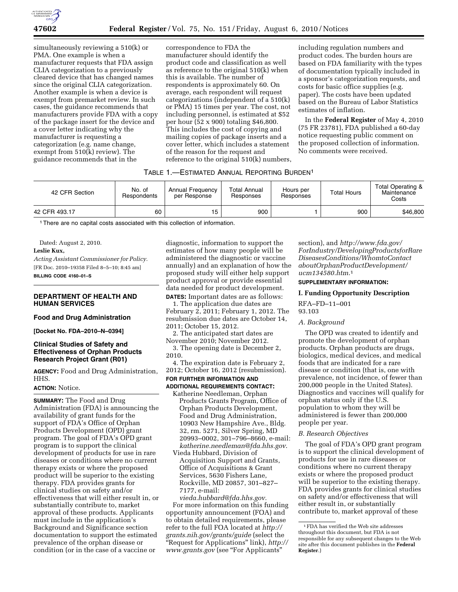

simultaneously reviewing a 510(k) or PMA. One example is when a manufacturer requests that FDA assign CLIA categorization to a previously cleared device that has changed names since the original CLIA categorization. Another example is when a device is exempt from premarket review. In such cases, the guidance recommends that manufacturers provide FDA with a copy of the package insert for the device and a cover letter indicating why the manufacturer is requesting a categorization (e.g. name change, exempt from 510(k) review). The guidance recommends that in the

correspondence to FDA the manufacturer should identify the product code and classification as well as reference to the original 510(k) when this is available. The number of respondents is approximately 60. On average, each respondent will request categorizations (independent of a 510(k) or PMA) 15 times per year. The cost, not including personnel, is estimated at \$52 per hour (52 x 900) totaling \$46,800. This includes the cost of copying and mailing copies of package inserts and a cover letter, which includes a statement of the reason for the request and reference to the original 510(k) numbers,

including regulation numbers and product codes. The burden hours are based on FDA familiarity with the types of documentation typically included in a sponsor's categorization requests, and costs for basic office supplies (e.g. paper). The costs have been updated based on the Bureau of Labor Statistics estimates of inflation.

In the **Federal Register** of May 4, 2010 (75 FR 23781), FDA published a 60-day notice requesting public comment on the proposed collection of information. No comments were received.

# TABLE 1.—ESTIMATED ANNUAL REPORTING BURDEN1

| 42 CFR Section | No. of<br>Respondents | Annual Frequency<br>per Response | Total Annual<br>Responses | Hours per<br>Responses | <b>Total Hours</b> | Total Operating &<br>Maintenance<br>Costs |
|----------------|-----------------------|----------------------------------|---------------------------|------------------------|--------------------|-------------------------------------------|
| 42 CFR 493.17  | 60                    | 15                               | 900                       |                        | 900                | \$46,800                                  |

<sup>1</sup> There are no capital costs associated with this collection of information.

Dated: August 2, 2010.

### **Leslie Kux,**

*Acting Assistant Commissioner for Policy.*  [FR Doc. 2010–19358 Filed 8–5–10; 8:45 am] **BILLING CODE 4160–01–S** 

## **DEPARTMENT OF HEALTH AND HUMAN SERVICES**

### **Food and Drug Administration**

**[Docket No. FDA–2010–N–0394]** 

## **Clinical Studies of Safety and Effectiveness of Orphan Products Research Project Grant (R01)**

**AGENCY:** Food and Drug Administration, HHS.

### **ACTION:** Notice.

**SUMMARY:** The Food and Drug Administration (FDA) is announcing the availability of grant funds for the support of FDA's Office of Orphan Products Development (OPD) grant program. The goal of FDA's OPD grant program is to support the clinical development of products for use in rare diseases or conditions where no current therapy exists or where the proposed product will be superior to the existing therapy. FDA provides grants for clinical studies on safety and/or effectiveness that will either result in, or substantially contribute to, market approval of these products. Applicants must include in the application's Background and Significance section documentation to support the estimated prevalence of the orphan disease or condition (or in the case of a vaccine or

diagnostic, information to support the estimates of how many people will be administered the diagnostic or vaccine annually) and an explanation of how the proposed study will either help support product approval or provide essential data needed for product development. **DATES:** Important dates are as follows:

1. The application due dates are February 2, 2011; February 1, 2012. The resubmission due dates are October 14, 2011; October 15, 2012.

2. The anticipated start dates are November 2010; November 2012.

3. The opening date is December 2, 2010.

4. The expiration date is February 2, 2012; October 16, 2012 (resubmission).

## **FOR FURTHER INFORMATION AND ADDITIONAL REQUIREMENTS CONTACT:**

- Katherine Needleman, Orphan Products Grants Program, Office of Orphan Products Development, Food and Drug Administration, 10903 New Hampshire Ave., Bldg. 32, rm. 5271, Silver Spring, MD 20993–0002, 301–796–8660, e-mail: *[katherine.needleman@fda.hhs.gov](mailto:katherine.needleman@fda.hhs.gov)*.
- Vieda Hubbard, Division of Acquisition Support and Grants, Office of Acquisitions & Grant Services, 5630 Fishers Lane, Rockville, MD 20857, 301–827– 7177, e-mail:

*[vieda.hubbard@fda.hhs.gov.](mailto:vieda.hubbard@fda.hhs.gov)*  For more information on this funding opportunity announcement (FOA) and to obtain detailed requirements, please refer to the full FOA located at *[http://](http://grants.nih.gov/grants/guide) [grants.nih.gov/grants/guide](http://grants.nih.gov/grants/guide)* (select the ''Request for Applications'' link), *[http://](http://www.grants.gov) [www.grants.gov](http://www.grants.gov)* (see ''For Applicants''

section), and *[http://www.fda.gov/](http://www.fda.gov/ForIndustry/DevelopingProductsforRareDiseasesConditions/WhomtoContactaboutOrphanProductDevelopment/ucm134580.htm)  [ForIndustry/DevelopingProductsforRare](http://www.fda.gov/ForIndustry/DevelopingProductsforRareDiseasesConditions/WhomtoContactaboutOrphanProductDevelopment/ucm134580.htm) [DiseasesConditions/WhomtoContact](http://www.fda.gov/ForIndustry/DevelopingProductsforRareDiseasesConditions/WhomtoContactaboutOrphanProductDevelopment/ucm134580.htm) [aboutOrphanProductDevelopment/](http://www.fda.gov/ForIndustry/DevelopingProductsforRareDiseasesConditions/WhomtoContactaboutOrphanProductDevelopment/ucm134580.htm) [ucm134580.htm](http://www.fda.gov/ForIndustry/DevelopingProductsforRareDiseasesConditions/WhomtoContactaboutOrphanProductDevelopment/ucm134580.htm)*.1

## **SUPPLEMENTARY INFORMATION:**

### **I. Funding Opportunity Description**

RFA–FD–11–001 93.103

## *A. Background*

The OPD was created to identify and promote the development of orphan products. Orphan products are drugs, biologics, medical devices, and medical foods that are indicated for a rare disease or condition (that is, one with prevalence, not incidence, of fewer than 200,000 people in the United States). Diagnostics and vaccines will qualify for orphan status only if the U.S. population to whom they will be administered is fewer than 200,000 people per year.

## *B. Research Objectives*

The goal of FDA's OPD grant program is to support the clinical development of products for use in rare diseases or conditions where no current therapy exists or where the proposed product will be superior to the existing therapy. FDA provides grants for clinical studies on safety and/or effectiveness that will either result in, or substantially contribute to, market approval of these

<sup>1</sup>FDA has verified the Web site addresses throughout this document, but FDA is not responsible for any subsequent changes to the Web site after this document publishes in the **Federal Register**.)